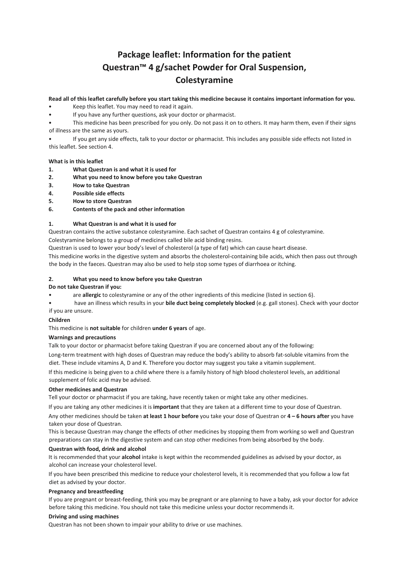# **Package leaflet: Information for the patient Questran™ 4 g/sachet Powder for Oral Suspension, Colestyramine**

# **Read all of this leaflet carefully before you start taking this medicine because it contains important information for you.**

- Keep this leaflet. You may need to read it again.
- If you have any further questions, ask your doctor or pharmacist.
- This medicine has been prescribed for you only. Do not pass it on to others. It may harm them, even if their signs of illness are the same as yours.

• If you get any side effects, talk to your doctor or pharmacist. This includes any possible side effects not listed in this leaflet. See section 4.

# **What is in this leaflet**

- **1. What Questran is and what it is used for**
- **2. What you need to know before you take Questran**
- **3. How to take Questran**
- **4. Possible side effects**
- **5. How to store Questran**
- **6. Contents of the pack and other information**

# **1. What Questran is and what it is used for**

Questran contains the active substance colestyramine. Each sachet of Questran contains 4 g of colestyramine.

Colestyramine belongs to a group of medicines called bile acid binding resins.

Questran is used to lower your body's level of cholesterol (a type of fat) which can cause heart disease.

This medicine works in the digestive system and absorbs the cholesterol‐containing bile acids, which then pass out through the body in the faeces. Questran may also be used to help stop some types of diarrhoea or itching.

#### **2. What you need to know before you take Questran**

#### **Do not take Questran if you:**

- are **allergic** to colestyramine or any of the other ingredients of this medicine (listed in section 6).
- have an illness which results in your **bile duct being completely blocked** (e.g. gall stones). Check with your doctor if you are unsure.

#### **Children**

This medicine is **not suitable** for children **under 6 years** of age.

#### **Warnings and precautions**

Talk to your doctor or pharmacist before taking Questran if you are concerned about any of the following:

Long-term treatment with high doses of Questran may reduce the body's ability to absorb fat-soluble vitamins from the diet. These include vitamins A, D and K. Therefore you doctor may suggest you take a vitamin supplement.

If this medicine is being given to a child where there is a family history of high blood cholesterol levels, an additional supplement of folic acid may be advised.

#### **Other medicines and Questran**

Tell your doctor or pharmacist if you are taking, have recently taken or might take any other medicines.

If you are taking any other medicines it is **important** that they are taken at a different time to your dose of Questran.

Any other medicines should be taken **at least 1 hour before** you take your dose of Questran or **4 – 6 hours after** you have taken your dose of Questran.

This is because Questran may change the effects of other medicines by stopping them from working so well and Questran preparations can stay in the digestive system and can stop other medicines from being absorbed by the body.

#### **Questran with food, drink and alcohol**

It is recommended that your **alcohol** intake is kept within the recommended guidelines as advised by your doctor, as alcohol can increase your cholesterol level.

If you have been prescribed this medicine to reduce your cholesterol levels, it is recommended that you follow a low fat diet as advised by your doctor.

#### **Pregnancy and breastfeeding**

If you are pregnant or breast‐feeding, think you may be pregnant or are planning to have a baby, ask your doctor for advice before taking this medicine. You should not take this medicine unless your doctor recommends it.

#### **Driving and using machines**

Questran has not been shown to impair your ability to drive or use machines.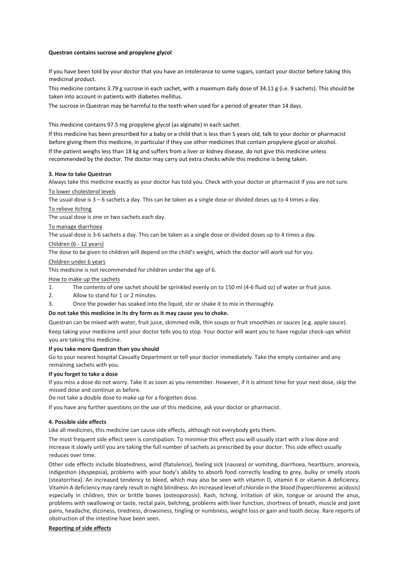#### **Questran contains sucrose and propylene glycol**

If you have been told by your doctor that you have an intolerance to some sugars, contact your doctor before taking this medicinal product.

This medicine contains 3.79 g sucrose in each sachet, with a maximum daily dose of 34.11 g (i.e. 9 sachets). This should be taken into account in patients with diabetes mellitus.

The sucrose in Questran may be harmful to the teeth when used for a period of greater than 14 days.

This medicine contains 97.5 mg propylene glycol (as alginate) in each sachet.

If this medicine has been prescribed for a baby or a child that is less than 5 years old, talk to your doctor or pharmacist before giving them this medicine, in particular if they use other medicines that contain propylene glycol or alcohol.

If the patient weighs less than 18 kg and suffers from a liver or kidney disease, do not give this medicine unless recommended by the doctor. The doctor may carry out extra checks while this medicine is being taken.

#### **3. How to take Questran**

Always take this medicine exactly as your doctor has told you. Check with your doctor or pharmacist if you are not sure. To lower cholesterol levels

The usual dose is 3 – 6 sachets a day. This can be taken as a single dose or divided doses up to 4 times a day.

#### To relieve itching

The usual dose is one or two sachets each day.

#### To manage diarrhoea

The usual dose is 3‐6 sachets a day. This can be taken as a single dose or divided doses up to 4 times a day.

# Children (6 ‐ 12 years)

The dose to be given to children will depend on the child's weight, which the doctor will work out for you.

#### Children under 6 years

This medicine is not recommended for children under the age of 6.

#### How to make up the sachets

1. The contents of one sachet should be sprinkled evenly on to 150 ml (4‐6 fluid oz) of water or fruit juice.

- 2. Allow to stand for 1 or 2 minutes.
- 3. Once the powder has soaked into the liquid, stir or shake it to mix in thoroughly.

# **Do not take this medicine in its dry form as it may cause you to choke.**

Questran can be mixed with water, fruit juice, skimmed milk, thin soups or fruit smoothies or sauces (e.g. apple sauce).

Keep taking your medicine until your doctor tells you to stop. Your doctor will want you to have regular check‐ups whilst you are taking this medicine.

# **If you take more Questran than you should**

Go to your nearest hospital Casualty Department or tell your doctor immediately. Take the empty container and any remaining sachets with you.

#### **If you forget to take a dose**

If you miss a dose do not worry. Take it as soon as you remember. However, if it is almost time for your next dose, skip the missed dose and continue as before.

Do not take a double dose to make up for a forgotten dose.

If you have any further questions on the use of this medicine, ask your doctor or pharmacist.

#### **4. Possible side effects**

Like all medicines, this medicine can cause side effects, although not everybody gets them.

The most frequent side effect seen is constipation. To minimise this effect you will usually start with a low dose and increase it slowly until you are taking the full number of sachets as prescribed by your doctor. This side effect usually reduces over time.

Other side effects include bloatedness, wind (flatulence), feeling sick (nausea) or vomiting, diarrhoea, heartburn, anorexia, indigestion (dyspepsia), problems with your body's ability to absorb food correctly leading to grey, bulky or smelly stools (steatorrhea). An increased tendency to bleed, which may also be seen with vitamin D, vitamin K or vitamin A deficiency. Vitamin A deficiency may rarely result in night blindness. An increased level of chloride in the blood (hyperchloremic acidosis) especially in children, thin or brittle bones (osteoporosis). Rash, itching, irritation of skin, tongue or around the anus, problems with swallowing or taste, rectal pain, belching, problems with liver function, shortness of breath, muscle and joint pains, headache, dizziness, tiredness, drowsiness, tingling or numbness, weight loss or gain and tooth decay. Rare reports of obstruction of the intestine have been seen.

# **Reporting of side effects**